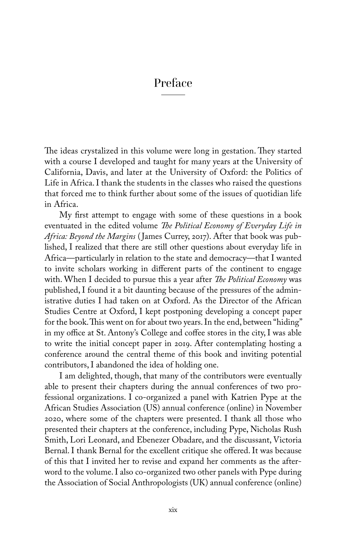## Preface

The ideas crystalized in this volume were long in gestation. They started with a course I developed and taught for many years at the University of California, Davis, and later at the University of Oxford: the Politics of Life in Africa. I thank the students in the classes who raised the questions that forced me to think further about some of the issues of quotidian life in Africa.

My first attempt to engage with some of these questions in a book eventuated in the edited volume *The Political Economy of Everyday Life in Africa: Beyond the Margins* ( James Currey, 2017). After that book was published, I realized that there are still other questions about everyday life in Africa—particularly in relation to the state and democracy—that I wanted to invite scholars working in different parts of the continent to engage with. When I decided to pursue this a year after *The Political Economy* was published, I found it a bit daunting because of the pressures of the administrative duties I had taken on at Oxford. As the Director of the African Studies Centre at Oxford, I kept postponing developing a concept paper for the book. This went on for about two years. In the end, between "hiding" in my office at St. Antony's College and coffee stores in the city, I was able to write the initial concept paper in 2019. After contemplating hosting a conference around the central theme of this book and inviting potential contributors, I abandoned the idea of holding one.

I am delighted, though, that many of the contributors were eventually able to present their chapters during the annual conferences of two professional organizations. I co-organized a panel with Katrien Pype at the African Studies Association (US) annual conference (online) in November 2020, where some of the chapters were presented. I thank all those who presented their chapters at the conference, including Pype, Nicholas Rush Smith, Lori Leonard, and Ebenezer Obadare, and the discussant, Victoria Bernal. I thank Bernal for the excellent critique she offered. It was because of this that I invited her to revise and expand her comments as the afterword to the volume. I also co-organized two other panels with Pype during the Association of Social Anthropologists (UK) annual conference (online)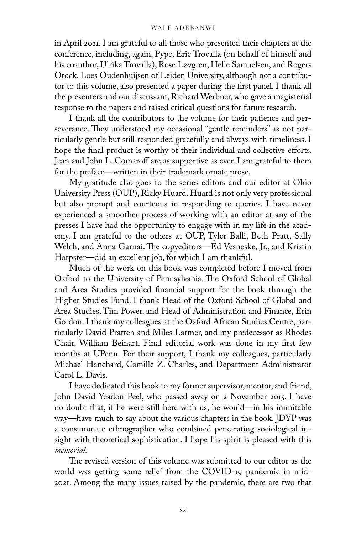## WALE ADEBANWI

in April 2021. I am grateful to all those who presented their chapters at the conference, including, again, Pype, Eric Trovalla (on behalf of himself and his coauthor, Ulrika Trovalla), Rose Løvgren, Helle Samuelsen, and Rogers Orock. Loes Oudenhuijsen of Leiden University, although not a contributor to this volume, also presented a paper during the first panel. I thank all the presenters and our discussant, Richard Werbner, who gave a magisterial response to the papers and raised critical questions for future research.

I thank all the contributors to the volume for their patience and perseverance. They understood my occasional "gentle reminders" as not particularly gentle but still responded gracefully and always with timeliness. I hope the final product is worthy of their individual and collective efforts. Jean and John L. Comaroff are as supportive as ever. I am grateful to them for the preface—written in their trademark ornate prose.

My gratitude also goes to the series editors and our editor at Ohio University Press (OUP), Ricky Huard. Huard is not only very professional but also prompt and courteous in responding to queries. I have never experienced a smoother process of working with an editor at any of the presses I have had the opportunity to engage with in my life in the academy. I am grateful to the others at OUP, Tyler Balli, Beth Pratt, Sally Welch, and Anna Garnai. The copyeditors—Ed Vesneske, Jr., and Kristin Harpster—did an excellent job, for which I am thankful.

Much of the work on this book was completed before I moved from Oxford to the University of Pennsylvania. The Oxford School of Global and Area Studies provided financial support for the book through the Higher Studies Fund. I thank Head of the Oxford School of Global and Area Studies, Tim Power, and Head of Administration and Finance, Erin Gordon. I thank my colleagues at the Oxford African Studies Centre, particularly David Pratten and Miles Larmer, and my predecessor as Rhodes Chair, William Beinart. Final editorial work was done in my first few months at UPenn. For their support, I thank my colleagues, particularly Michael Hanchard, Camille Z. Charles, and Department Administrator Carol L. Davis.

I have dedicated this book to my former supervisor, mentor, and friend, John David Yeadon Peel, who passed away on 2 November 2015. I have no doubt that, if he were still here with us, he would—in his inimitable way—have much to say about the various chapters in the book. JDYP was a consummate ethnographer who combined penetrating sociological insight with theoretical sophistication. I hope his spirit is pleased with this *memorial.*

The revised version of this volume was submitted to our editor as the world was getting some relief from the COVID-19 pandemic in mid-2021. Among the many issues raised by the pandemic, there are two that